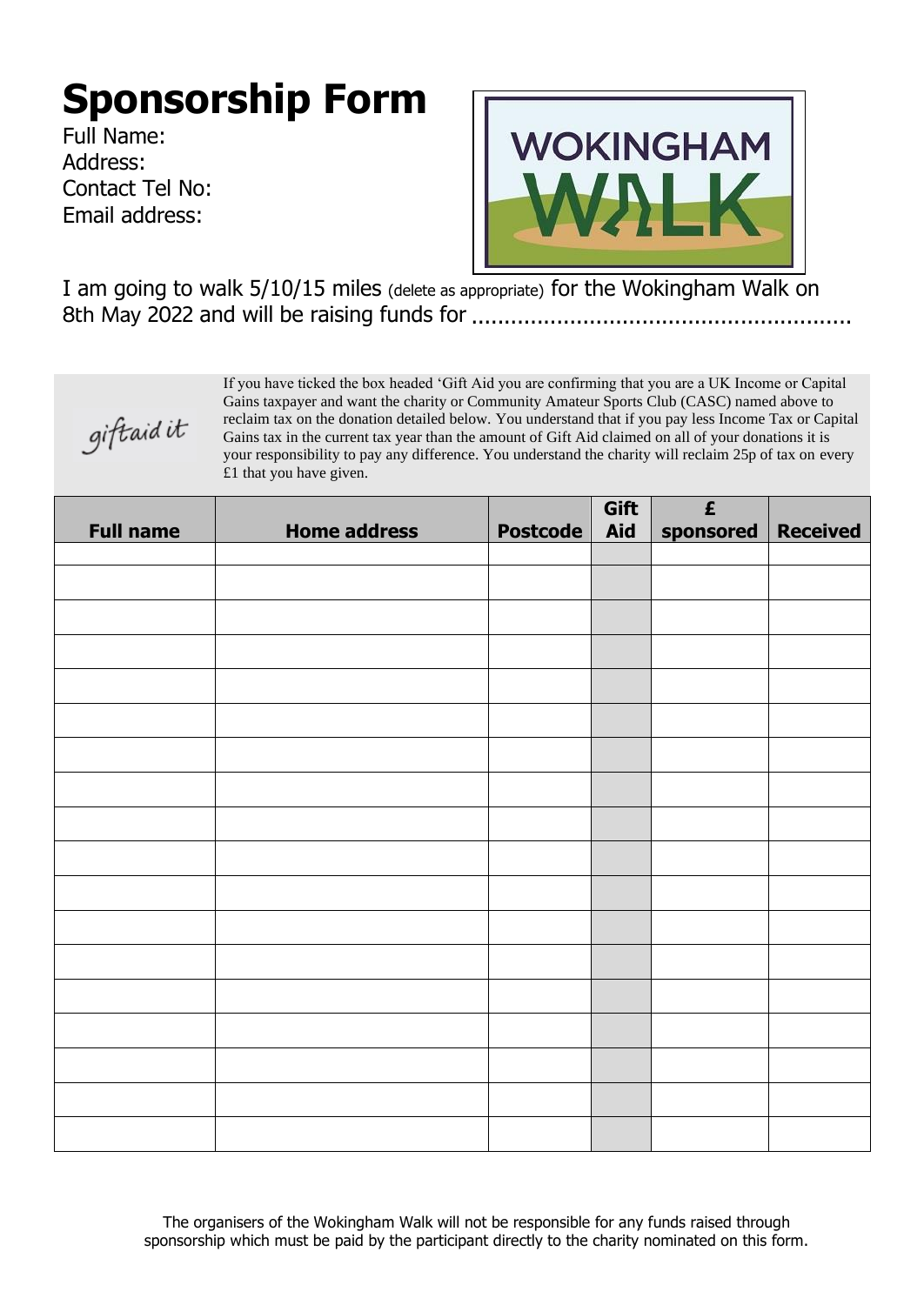## **Sponsorship Form**

Full Name: Address: Contact Tel No: Email address:



I am going to walk 5/10/15 miles (delete as appropriate) for the Wokingham Walk on 8th May 2022 and will be raising funds for ..........................................................



If you have ticked the box headed 'Gift Aid you are confirming that you are a UK Income or Capital Gains taxpayer and want the charity or Community Amateur Sports Club (CASC) named above to reclaim tax on the donation detailed below. You understand that if you pay less Income Tax or Capital Gains tax in the current tax year than the amount of Gift Aid claimed on all of your donations it is your responsibility to pay any difference. You understand the charity will reclaim 25p of tax on every £1 that you have given.

| <b>Full name</b> | <b>Home address</b> | <b>Postcode</b> | Gift<br>Aid | $\pmb{\mathsf{E}}$<br>sponsored | <b>Received</b> |
|------------------|---------------------|-----------------|-------------|---------------------------------|-----------------|
|                  |                     |                 |             |                                 |                 |
|                  |                     |                 |             |                                 |                 |
|                  |                     |                 |             |                                 |                 |
|                  |                     |                 |             |                                 |                 |
|                  |                     |                 |             |                                 |                 |
|                  |                     |                 |             |                                 |                 |
|                  |                     |                 |             |                                 |                 |
|                  |                     |                 |             |                                 |                 |
|                  |                     |                 |             |                                 |                 |
|                  |                     |                 |             |                                 |                 |
|                  |                     |                 |             |                                 |                 |
|                  |                     |                 |             |                                 |                 |
|                  |                     |                 |             |                                 |                 |
|                  |                     |                 |             |                                 |                 |
|                  |                     |                 |             |                                 |                 |
|                  |                     |                 |             |                                 |                 |
|                  |                     |                 |             |                                 |                 |
|                  |                     |                 |             |                                 |                 |

The organisers of the Wokingham Walk will not be responsible for any funds raised through sponsorship which must be paid by the participant directly to the charity nominated on this form.